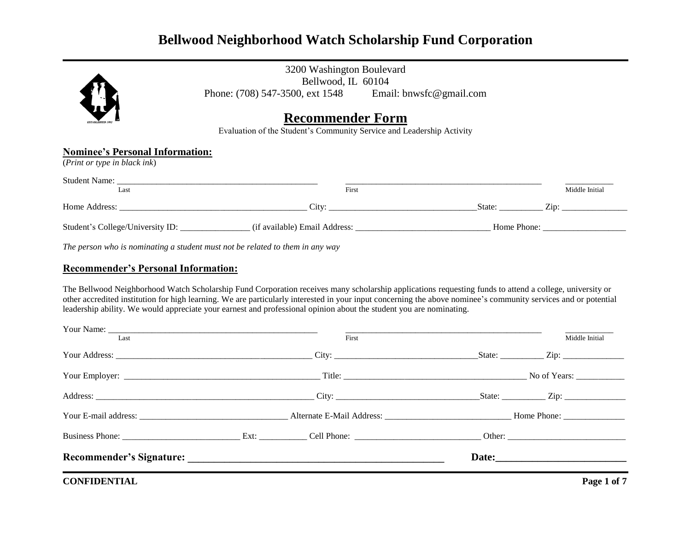

3200 Washington Boulevard Bellwood, IL 60104 Phone: (708) 547-3500, ext 1548 Email: bnwsfc@gmail.com

## **Recommender Form**

Evaluation of the Student's Community Service and Leadership Activity

### **Nominee's Personal Information:**

(*Print or type in black ink*)

| <b>Student Name:</b><br>Last     | First                         |             | Middle Initial |
|----------------------------------|-------------------------------|-------------|----------------|
| Home Address:                    | City:                         | State:      | $Z$ ip:        |
| Student's College/University ID: | (if available) Email Address: | Home Phone: |                |

*The person who is nominating a student must not be related to them in any way*

#### **Recommender's Personal Information:**

The Bellwood Neighborhood Watch Scholarship Fund Corporation receives many scholarship applications requesting funds to attend a college, university or other accredited institution for high learning. We are particularly interested in your input concerning the above nominee's community services and or potential leadership ability. We would appreciate your earnest and professional opinion about the student you are nominating.

| Last | First                                                 | Middle Initial |
|------|-------------------------------------------------------|----------------|
|      |                                                       |                |
|      |                                                       |                |
|      |                                                       |                |
|      |                                                       |                |
|      | Business Phone: Ext: Cell Phone: Other: Other: Other: |                |
|      |                                                       |                |
|      |                                                       |                |

**CONFIDENTIAL** Page 1 of 7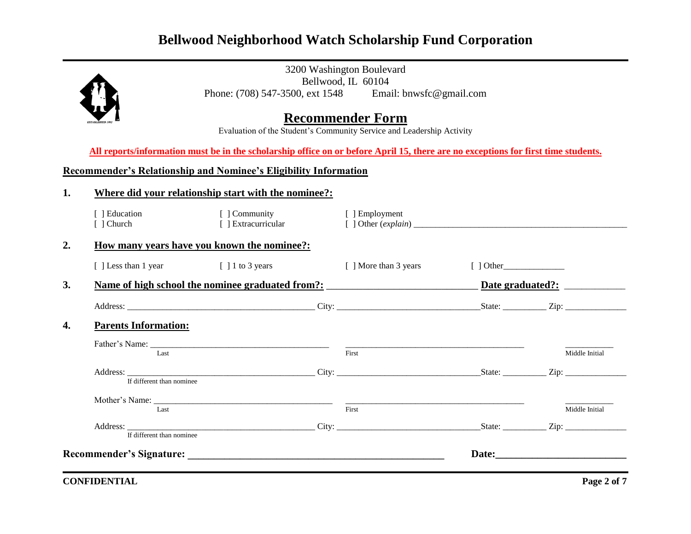

3200 Washington Boulevard Bellwood, IL 60104<br>
1, ext 1548 Email: bnwsfc@gmail.com Phone: (708) 547-3500, ext 1548

# **Recommender Form**

Evaluation of the Student's Community Service and Leadership Activity

**All reports/information must be in the scholarship office on or before April 15, there are no exceptions for first time students.**

### **Recommender's Relationship and Nominee's Eligibility Information**

| 1.               | Where did your relationship start with the nominee?:                                                                                                                                                                          |                                      |                       |                |                |
|------------------|-------------------------------------------------------------------------------------------------------------------------------------------------------------------------------------------------------------------------------|--------------------------------------|-----------------------|----------------|----------------|
|                  | [ ] Education<br>[ ] Church                                                                                                                                                                                                   | [ ] Community<br>[ ] Extracurricular | [ ] Employment        |                |                |
| $\overline{2}$ . | <u>How many years have you known the nominee?:</u>                                                                                                                                                                            |                                      |                       |                |                |
|                  | [] Less than 1 year [] 1 to 3 years                                                                                                                                                                                           |                                      | [ ] More than 3 years | $\lceil$ Other |                |
| 3.               |                                                                                                                                                                                                                               |                                      |                       |                |                |
|                  |                                                                                                                                                                                                                               |                                      |                       |                |                |
| 4.               | <b>Parents Information:</b>                                                                                                                                                                                                   |                                      |                       |                |                |
|                  | Last                                                                                                                                                                                                                          |                                      | First                 |                | Middle Initial |
|                  | If different than nominee                                                                                                                                                                                                     |                                      |                       |                |                |
|                  | Last                                                                                                                                                                                                                          |                                      | First                 |                | Middle Initial |
|                  | If different than nominee                                                                                                                                                                                                     |                                      |                       |                |                |
|                  | Recommender's Signature: New York Changes and School and School and School and School and School and School and School and School and School and School and School and School and School and School and School and School and |                                      |                       |                |                |

**CONFIDENTIAL Page 2 of 7**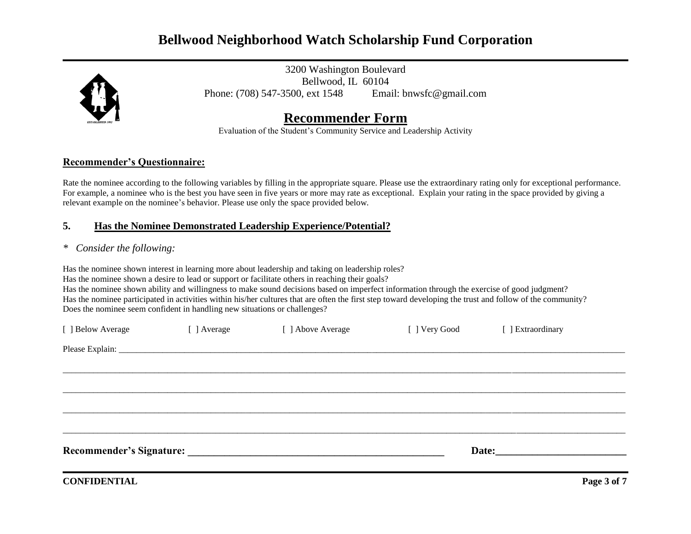

3200 Washington Boulevard Bellwood, IL 60104 Phone: (708) 547-3500, ext 1548 Email: bnwsfc@gmail.com

# **Recommender Form**

Evaluation of the Student's Community Service and Leadership Activity

#### **Recommender's Questionnaire:**

Rate the nominee according to the following variables by filling in the appropriate square. Please use the extraordinary rating only for exceptional performance. For example, a nominee who is the best you have seen in five years or more may rate as exceptional. Explain your rating in the space provided by giving a relevant example on the nominee's behavior. Please use only the space provided below.

### **5. Has the Nominee Demonstrated Leadership Experience/Potential?**

### *\* Consider the following:*

Has the nominee shown interest in learning more about leadership and taking on leadership roles? Has the nominee shown a desire to lead or support or facilitate others in reaching their goals? Has the nominee shown ability and willingness to make sound decisions based on imperfect information through the exercise of good judgment? Has the nominee participated in activities within his/her cultures that are often the first step toward developing the trust and follow of the community? Does the nominee seem confident in handling new situations or challenges?

| [ ] Below Average | [ ] Average | [ ] Above Average        | [ ] Very Good | [ ] Extraordinary  |  |
|-------------------|-------------|--------------------------|---------------|--------------------|--|
|                   |             |                          |               |                    |  |
|                   |             |                          |               |                    |  |
|                   |             |                          |               |                    |  |
|                   |             |                          |               |                    |  |
|                   |             |                          |               |                    |  |
|                   |             | Recommender's Signature: |               | Date: <u>Date:</u> |  |
|                   |             |                          |               |                    |  |

**CONFIDENTIAL** Page 3 of 7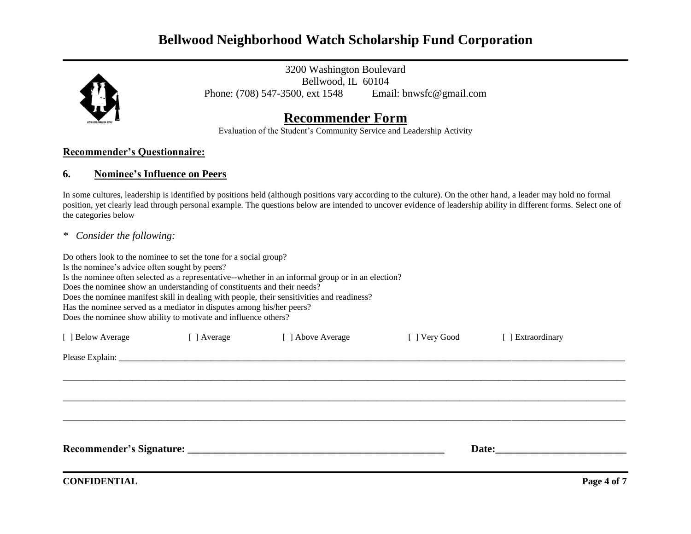

3200 Washington Boulevard Bellwood, IL 60104 Phone: (708) 547-3500, ext 1548 Email: bnwsfc@gmail.com

# **Recommender Form**

Evaluation of the Student's Community Service and Leadership Activity

#### **Recommender's Questionnaire:**

#### **6. Nominee's Influence on Peers**

In some cultures, leadership is identified by positions held (although positions vary according to the culture). On the other hand, a leader may hold no formal position, yet clearly lead through personal example. The questions below are intended to uncover evidence of leadership ability in different forms. Select one of the categories below

*\* Consider the following:*

Do others look to the nominee to set the tone for a social group?

Is the nominee's advice often sought by peers?

Is the nominee often selected as a representative--whether in an informal group or in an election?

Does the nominee show an understanding of constituents and their needs?

Does the nominee manifest skill in dealing with people, their sensitivities and readiness?

Has the nominee served as a mediator in disputes among his/her peers?

Does the nominee show ability to motivate and influence others?

| [ ] Below Average | [ ] Average | [ ] Above Average | [ ] Very Good | [ ] Extraordinary |  |
|-------------------|-------------|-------------------|---------------|-------------------|--|
|                   |             |                   |               |                   |  |
|                   |             |                   |               |                   |  |
|                   |             |                   |               |                   |  |
|                   |             |                   |               |                   |  |
|                   |             |                   |               |                   |  |
|                   |             |                   |               |                   |  |
|                   |             |                   |               |                   |  |

**CONFIDENTIAL** Page 4 of 7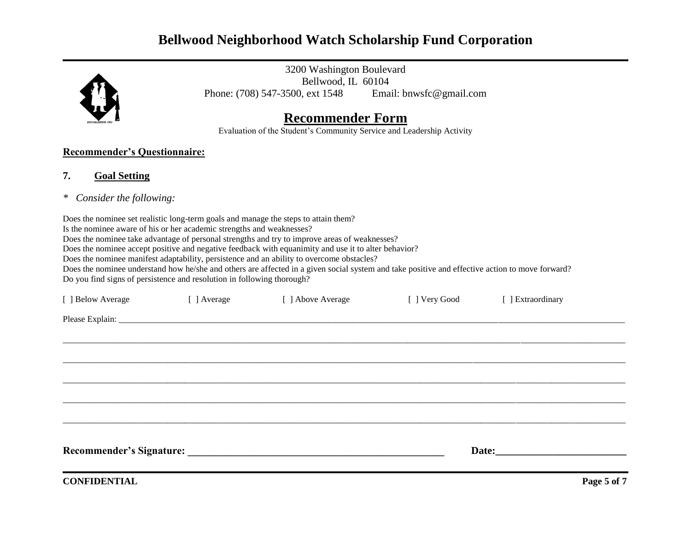

3200 Washington Boulevard Bellwood, IL 60104 Phone: (708) 547-3500, ext 1548 Email: bnwsfc@gmail.com

# **Recommender Form**

Evaluation of the Student's Community Service and Leadership Activity

### **Recommender's Questionnaire:**

### **7. Goal Setting**

*\* Consider the following:*

Does the nominee set realistic long-term goals and manage the steps to attain them?

Is the nominee aware of his or her academic strengths and weaknesses?

Does the nominee take advantage of personal strengths and try to improve areas of weaknesses?

Does the nominee accept positive and negative feedback with equanimity and use it to alter behavior?

Does the nominee manifest adaptability, persistence and an ability to overcome obstacles?

Does the nominee understand how he/she and others are affected in a given social system and take positive and effective action to move forward? Do you find signs of persistence and resolution in following thorough?

| [ ] Below Average   | [ ] Average | [ ] Above Average                                                                                                                                                                                                              | [ ] Very Good | [ ] Extraordinary                                                                                                                                                                                                              |             |
|---------------------|-------------|--------------------------------------------------------------------------------------------------------------------------------------------------------------------------------------------------------------------------------|---------------|--------------------------------------------------------------------------------------------------------------------------------------------------------------------------------------------------------------------------------|-------------|
|                     |             |                                                                                                                                                                                                                                |               |                                                                                                                                                                                                                                |             |
|                     |             |                                                                                                                                                                                                                                |               |                                                                                                                                                                                                                                |             |
|                     |             |                                                                                                                                                                                                                                |               |                                                                                                                                                                                                                                |             |
|                     |             |                                                                                                                                                                                                                                |               |                                                                                                                                                                                                                                |             |
|                     |             |                                                                                                                                                                                                                                |               |                                                                                                                                                                                                                                |             |
|                     |             |                                                                                                                                                                                                                                |               |                                                                                                                                                                                                                                |             |
|                     |             |                                                                                                                                                                                                                                |               |                                                                                                                                                                                                                                |             |
|                     |             | Recommender's Signature: Management of the Second Second Second Second Second Second Second Second Second Second Second Second Second Second Second Second Second Second Second Second Second Second Second Second Second Seco |               | Date: the contract of the contract of the contract of the contract of the contract of the contract of the contract of the contract of the contract of the contract of the contract of the contract of the contract of the cont |             |
| <b>CONFIDENTIAL</b> |             |                                                                                                                                                                                                                                |               |                                                                                                                                                                                                                                | Page 5 of 7 |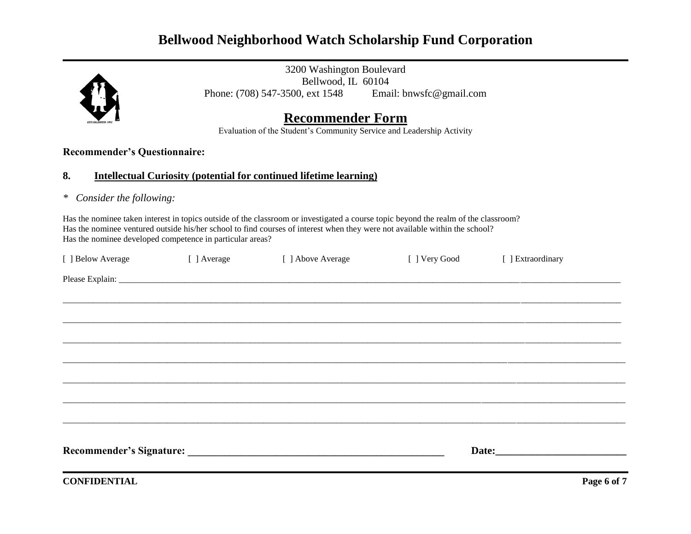

3200 Washington Boulevard Bellwood, IL 60104 Phone: (708) 547-3500, ext 1548 Email: bnwsfc@gmail.com

# **Recommender Form**

Evaluation of the Student's Community Service and Leadership Activity

### **Recommender's Questionnaire:**

#### **8. Intellectual Curiosity (potential for continued lifetime learning)**

*\* Consider the following:*

Has the nominee taken interest in topics outside of the classroom or investigated a course topic beyond the realm of the classroom? Has the nominee ventured outside his/her school to find courses of interest when they were not available within the school? Has the nominee developed competence in particular areas?

| [ ] Below Average | [ ] Average | [ ] Above Average | [ ] Very Good | [ ] Extraordinary                                                                                                                                                                                                              |  |
|-------------------|-------------|-------------------|---------------|--------------------------------------------------------------------------------------------------------------------------------------------------------------------------------------------------------------------------------|--|
|                   |             |                   |               |                                                                                                                                                                                                                                |  |
|                   |             |                   |               |                                                                                                                                                                                                                                |  |
|                   |             |                   |               |                                                                                                                                                                                                                                |  |
|                   |             |                   |               |                                                                                                                                                                                                                                |  |
|                   |             |                   |               |                                                                                                                                                                                                                                |  |
|                   |             |                   |               |                                                                                                                                                                                                                                |  |
|                   |             |                   |               |                                                                                                                                                                                                                                |  |
|                   |             |                   |               |                                                                                                                                                                                                                                |  |
|                   |             |                   |               |                                                                                                                                                                                                                                |  |
|                   |             |                   |               | Date: the contract of the contract of the contract of the contract of the contract of the contract of the contract of the contract of the contract of the contract of the contract of the contract of the contract of the cont |  |
|                   |             |                   |               |                                                                                                                                                                                                                                |  |

**CONFIDENTIAL** Page 6 of 7